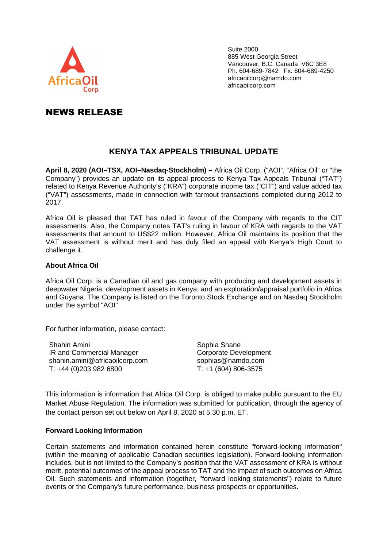

Suite 2000 885 West Georgia Street Vancouver, B.C. Canada V6C 3E8 Ph. 604-689-7842 Fx. 604-689-4250 africaoilcorp@namdo.com africaoilcorp.com

## NEWS RELEASE

## **KENYA TAX APPEALS TRIBUNAL UPDATE**

**April 8, 2020 (AOI–TSX, AOI–Nasdaq-Stockholm) –** Africa Oil Corp. ("AOI", "Africa Oil" or "the Company") provides an update on its appeal process to Kenya Tax Appeals Tribunal ("TAT") related to Kenya Revenue Authority's ("KRA") corporate income tax ("CIT") and value added tax ("VAT") assessments, made in connection with farmout transactions completed during 2012 to 2017.

Africa Oil is pleased that TAT has ruled in favour of the Company with regards to the CIT assessments. Also, the Company notes TAT's ruling in favour of KRA with regards to the VAT assessments that amount to US\$22 million. However, Africa Oil maintains its position that the VAT assessment is without merit and has duly filed an appeal with Kenya's High Court to challenge it.

## **About Africa Oil**

Africa Oil Corp. is a Canadian oil and gas company with producing and development assets in deepwater Nigeria; development assets in Kenya; and an exploration/appraisal portfolio in Africa and Guyana. The Company is listed on the Toronto Stock Exchange and on Nasdaq Stockholm under the symbol "AOI".

For further information, please contact:

Shahin Amini IR and Commercial Manager shahin.amini@africaoilcorp.com  $\overline{T}$ : +44 (0)203 982 6800

Sophia Shane Corporate Development sophias@namdo.com T: +1 (604) 806-3575

This information is information that Africa Oil Corp. is obliged to make public pursuant to the EU Market Abuse Regulation. The information was submitted for publication, through the agency of the contact person set out below on April 8, 2020 at 5:30 p.m. ET.

## **Forward Looking Information**

Certain statements and information contained herein constitute "forward-looking information" (within the meaning of applicable Canadian securities legislation). Forward-looking information includes, but is not limited to the Company's position that the VAT assessment of KRA is without merit, potential outcomes of the appeal process to TAT and the impact of such outcomes on Africa Oil. Such statements and information (together, "forward looking statements") relate to future events or the Company's future performance, business prospects or opportunities.